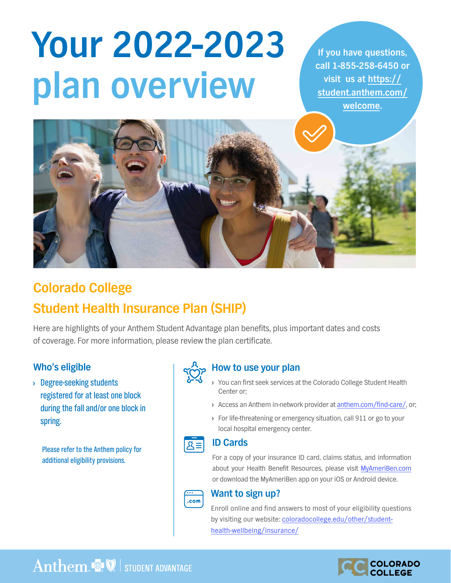# **Your 2022-2023 plan overview**

**If you have questions, call 1-855-258-6450 or visit us at https:// [student.anthem.com/](https://student.anthem.com/welcome) welcome.**



## **Colorado College Student Health Insurance Plan (SHIP)**

Here are highlights of your Anthem Student Advantage plan benefits, plus important dates and costs of coverage. For more information, please review the plan certificate.

#### **Who's eligible**

**›** Degree-seeking students registered for at least one block during the fall and/or one block in spring.

Please refer to the Anthem policy for additional eligibility provisions.



#### **How to use your plan**

- **›** You can first seek services at the Colorado College Student Health Center or;
- **›** Access an Anthem in-network provider at [anthem.com/find-care/](www.anthem.com/find-care/), or;
- **›** For life-threatening or emergency situation, call 911 or go to your local hospital emergency center.

#### **ID Cards**  $R \equiv$

For a copy of your insurance ID card, claims status, and information about your Health Benefit Resources, please visit [MyAmeriBen.com](www.MyAmeriBen.com) or download the MyAmeriBen app on your iOS or Android device.



#### **Want to sign up?**

Enroll online and find answers to most of your eligibility questions [by visiting our website: coloradocollege.edu/other/student](www.coloradocollege.edu/other/student-health-wellbeing/insurance)health-wellbeing/insurance/